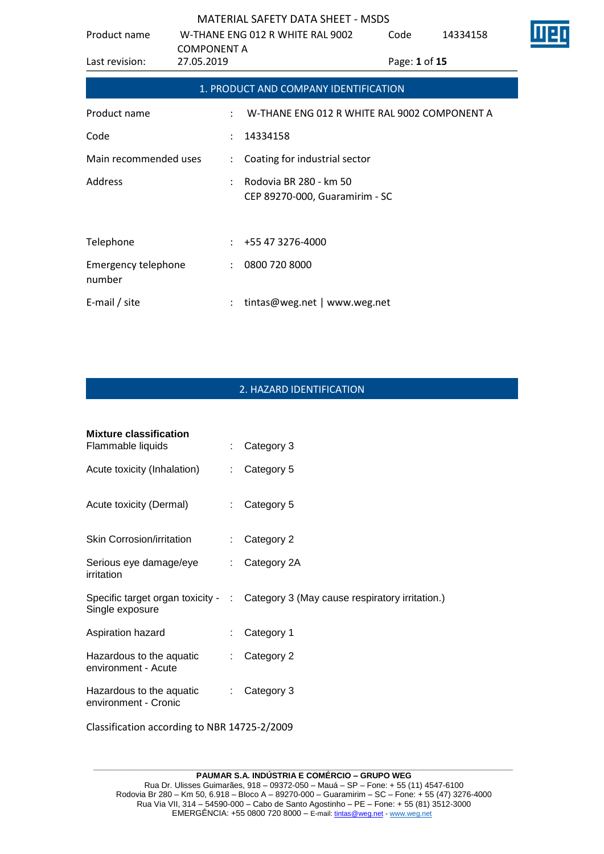| Product name                         | <b>COMPONENT A</b>   | W-THANE ENG 012 R WHITE RAL 9002                         | Code          | 14334158 |  |
|--------------------------------------|----------------------|----------------------------------------------------------|---------------|----------|--|
| Last revision:                       | 27.05.2019           |                                                          | Page: 1 of 15 |          |  |
|                                      |                      | 1. PRODUCT AND COMPANY IDENTIFICATION                    |               |          |  |
| Product name                         |                      | W-THANE ENG 012 R WHITE RAL 9002 COMPONENT A             |               |          |  |
| Code                                 |                      | 14334158                                                 |               |          |  |
| Main recommended uses                | $\ddot{\phantom{a}}$ | Coating for industrial sector                            |               |          |  |
| Address                              |                      | Rodovia BR 280 - km 50<br>CEP 89270-000, Guaramirim - SC |               |          |  |
| Telephone                            |                      | +55 47 3276-4000                                         |               |          |  |
| <b>Emergency telephone</b><br>number | $\ddot{\phantom{a}}$ | 0800 720 8000                                            |               |          |  |
| E-mail / site                        |                      | tintas@weg.net   www.weg.net                             |               |          |  |

# 2. HAZARD IDENTIFICATION

| <b>Mixture classification</b><br>Flammable liquids | ÷.                          | Category 3                                                                        |
|----------------------------------------------------|-----------------------------|-----------------------------------------------------------------------------------|
| Acute toxicity (Inhalation)                        | ÷.                          | Category 5                                                                        |
| Acute toxicity (Dermal)                            | $\mathbb{R}^{\mathbb{Z}}$   | Category 5                                                                        |
| <b>Skin Corrosion/irritation</b>                   | $\mathcal{L}^{\mathcal{L}}$ | Category 2                                                                        |
| Serious eye damage/eye<br>irritation               | $\mathbb{R}^{\mathbb{Z}}$   | Category 2A                                                                       |
| Single exposure                                    |                             | Specific target organ toxicity - : Category 3 (May cause respiratory irritation.) |
| Aspiration hazard                                  | ÷.                          | Category 1                                                                        |
| Hazardous to the aquatic<br>environment - Acute    | ÷.                          | Category 2                                                                        |
| Hazardous to the aquatic<br>environment - Cronic   | $\mathbb{R}^{\mathbb{Z}}$   | Category 3                                                                        |
| Classification according to NBR 14725-2/2009       |                             |                                                                                   |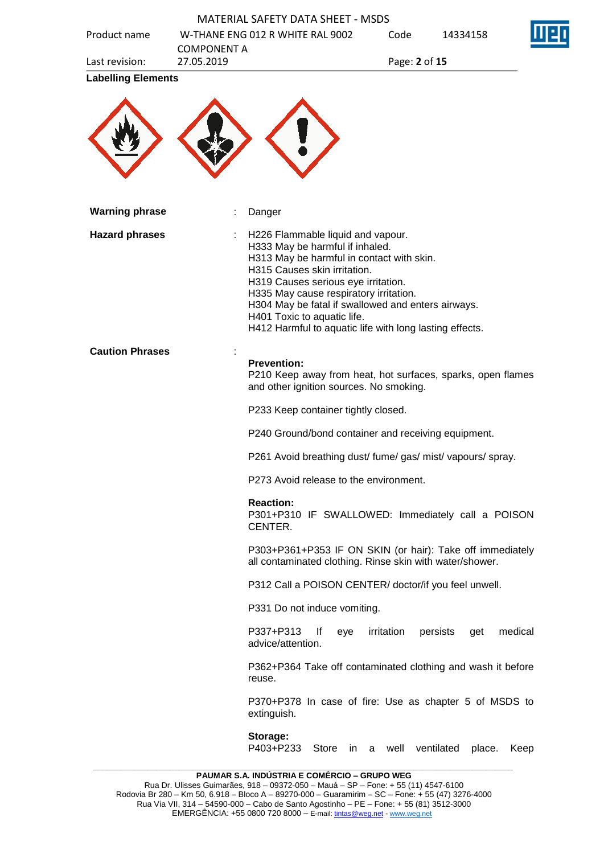|                           | W-THANE ENG 012 R WHITE RAL 9002<br><b>COMPONENT A</b> | Code<br>14334158                                                                                                      |
|---------------------------|--------------------------------------------------------|-----------------------------------------------------------------------------------------------------------------------|
| Last revision:            | 27.05.2019                                             | Page: 2 of 15                                                                                                         |
| <b>Labelling Elements</b> |                                                        |                                                                                                                       |
|                           |                                                        |                                                                                                                       |
|                           |                                                        |                                                                                                                       |
|                           |                                                        |                                                                                                                       |
| <b>Warning phrase</b>     | Danger                                                 |                                                                                                                       |
| <b>Hazard phrases</b>     |                                                        | H226 Flammable liquid and vapour.<br>H333 May be harmful if inhaled.                                                  |
|                           |                                                        | H313 May be harmful in contact with skin.                                                                             |
|                           |                                                        | H315 Causes skin irritation.<br>H319 Causes serious eye irritation.                                                   |
|                           |                                                        | H335 May cause respiratory irritation.                                                                                |
|                           | H401 Toxic to aquatic life.                            | H304 May be fatal if swallowed and enters airways.                                                                    |
|                           |                                                        | H412 Harmful to aquatic life with long lasting effects.                                                               |
| <b>Caution Phrases</b>    |                                                        |                                                                                                                       |
|                           | <b>Prevention:</b>                                     | P210 Keep away from heat, hot surfaces, sparks, open flames                                                           |
|                           |                                                        | and other ignition sources. No smoking.                                                                               |
|                           |                                                        | P233 Keep container tightly closed.                                                                                   |
|                           |                                                        | P240 Ground/bond container and receiving equipment.                                                                   |
|                           |                                                        | P261 Avoid breathing dust/ fume/ gas/ mist/ vapours/ spray.                                                           |
|                           |                                                        | P273 Avoid release to the environment.                                                                                |
|                           | <b>Reaction:</b>                                       | P301+P310 IF SWALLOWED: Immediately call a POISON                                                                     |
|                           | CENTER.                                                |                                                                                                                       |
|                           |                                                        | P303+P361+P353 IF ON SKIN (or hair): Take off immediately<br>all contaminated clothing. Rinse skin with water/shower. |
|                           |                                                        | P312 Call a POISON CENTER/ doctor/if you feel unwell.                                                                 |
|                           |                                                        | P331 Do not induce vomiting.                                                                                          |
|                           | P337+P313<br>advice/attention.                         | lf<br>irritation<br>medical<br>persists<br>eye<br>get                                                                 |
|                           | reuse.                                                 | P362+P364 Take off contaminated clothing and wash it before                                                           |
|                           | extinguish.                                            | P370+P378 In case of fire: Use as chapter 5 of MSDS to                                                                |
|                           | Storage:                                               |                                                                                                                       |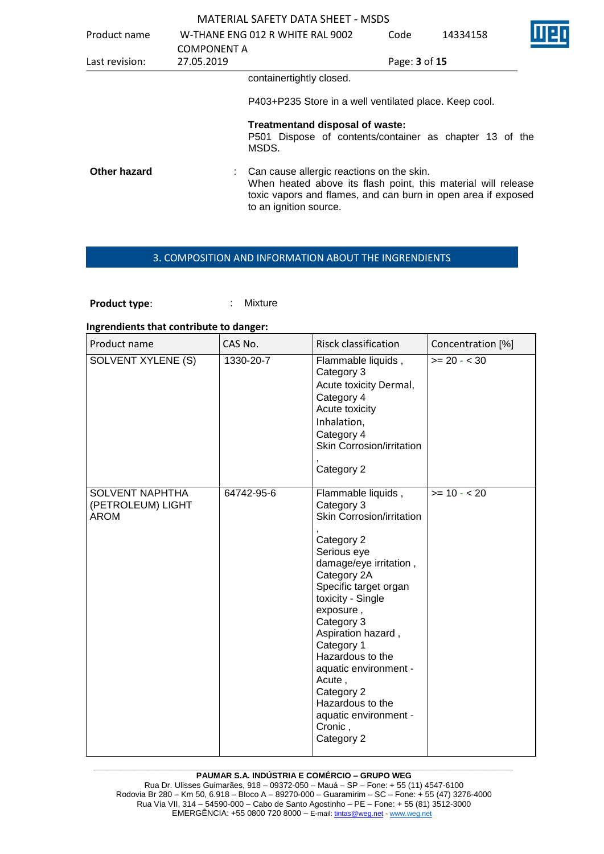| Product name   |                                  | W-THANE ENG 012 R WHITE RAL 9002                                                                                                                                                                      | Code          | 14334158 |  |
|----------------|----------------------------------|-------------------------------------------------------------------------------------------------------------------------------------------------------------------------------------------------------|---------------|----------|--|
| Last revision: | <b>COMPONENT A</b><br>27.05.2019 |                                                                                                                                                                                                       | Page: 3 of 15 |          |  |
|                |                                  | containertightly closed.                                                                                                                                                                              |               |          |  |
|                |                                  | P403+P235 Store in a well ventilated place. Keep cool.                                                                                                                                                |               |          |  |
|                |                                  | Treatmentand disposal of waste:<br>P501 Dispose of contents/container as chapter 13 of the<br>MSDS.                                                                                                   |               |          |  |
| Other hazard   |                                  | Can cause allergic reactions on the skin.<br>When heated above its flash point, this material will release<br>toxic vapors and flames, and can burn in open area if exposed<br>to an ignition source. |               |          |  |
|                |                                  |                                                                                                                                                                                                       |               |          |  |

### 3. COMPOSITION AND INFORMATION ABOUT THE INGRENDIENTS

**Product type:** : Mixture

#### **Ingrendients that contribute to danger:**

| Product name                                               | CAS No.    | <b>Risck classification</b>                                                                                                                                                                                                                                                                                                                                                                 | Concentration [%] |
|------------------------------------------------------------|------------|---------------------------------------------------------------------------------------------------------------------------------------------------------------------------------------------------------------------------------------------------------------------------------------------------------------------------------------------------------------------------------------------|-------------------|
| SOLVENT XYLENE (S)                                         | 1330-20-7  | Flammable liquids,<br>Category 3<br>Acute toxicity Dermal,<br>Category 4<br>Acute toxicity<br>Inhalation,<br>Category 4<br>Skin Corrosion/irritation<br>Category 2                                                                                                                                                                                                                          | $>= 20 - < 30$    |
| <b>SOLVENT NAPHTHA</b><br>(PETROLEUM) LIGHT<br><b>AROM</b> | 64742-95-6 | Flammable liquids,<br>Category 3<br>Skin Corrosion/irritation<br>Category 2<br>Serious eye<br>damage/eye irritation,<br>Category 2A<br>Specific target organ<br>toxicity - Single<br>exposure,<br>Category 3<br>Aspiration hazard,<br>Category 1<br>Hazardous to the<br>aquatic environment -<br>Acute,<br>Category 2<br>Hazardous to the<br>aquatic environment -<br>Cronic,<br>Category 2 | $>= 10 - 20$      |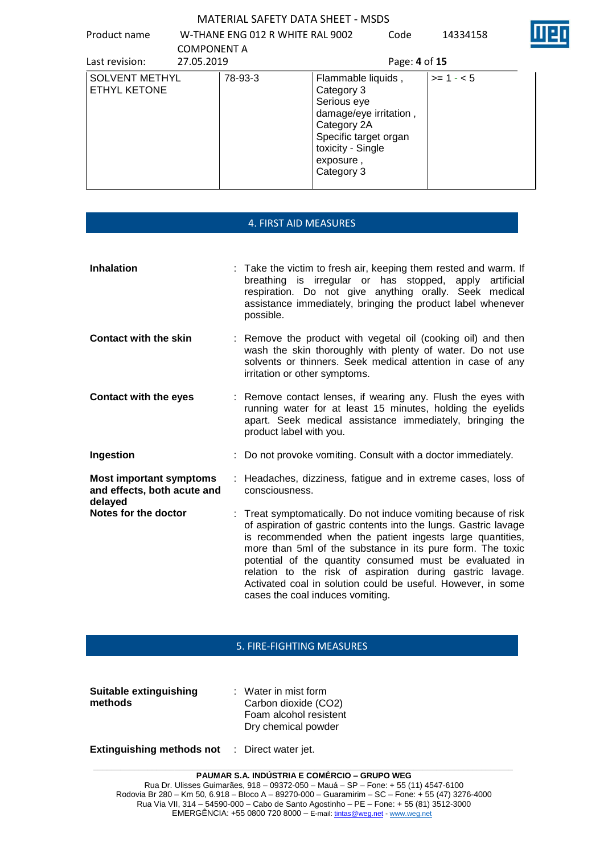Product name W-THANE ENG 012 R WHITE RAL 9002 COMPONENT A Code 14334158



| Last revision:                               | <b>CUIVIPUNENT A</b><br>27.05.2019 |         | Page: 4 of 15                                                                                                                                                     |            |
|----------------------------------------------|------------------------------------|---------|-------------------------------------------------------------------------------------------------------------------------------------------------------------------|------------|
| <b>SOLVENT METHYL</b><br><b>ETHYL KETONE</b> |                                    | 78-93-3 | Flammable liquids,<br>Category 3<br>Serious eye<br>damage/eye irritation,<br>Category 2A<br>Specific target organ<br>toxicity - Single<br>exposure,<br>Category 3 | $>= 1 - 5$ |

|                                                                          | <b>4. FIRST AID MEASURES</b>                                                                                                                                                                                                                                                                                                                                                                                                                                                               |
|--------------------------------------------------------------------------|--------------------------------------------------------------------------------------------------------------------------------------------------------------------------------------------------------------------------------------------------------------------------------------------------------------------------------------------------------------------------------------------------------------------------------------------------------------------------------------------|
| <b>Inhalation</b>                                                        | : Take the victim to fresh air, keeping them rested and warm. If<br>breathing is irregular or has stopped, apply<br>artificial<br>respiration. Do not give anything orally. Seek medical<br>assistance immediately, bringing the product label whenever<br>possible.                                                                                                                                                                                                                       |
| <b>Contact with the skin</b>                                             | : Remove the product with vegetal oil (cooking oil) and then<br>wash the skin thoroughly with plenty of water. Do not use<br>solvents or thinners. Seek medical attention in case of any<br>irritation or other symptoms.                                                                                                                                                                                                                                                                  |
| <b>Contact with the eyes</b>                                             | : Remove contact lenses, if wearing any. Flush the eyes with<br>running water for at least 15 minutes, holding the eyelids<br>apart. Seek medical assistance immediately, bringing the<br>product label with you.                                                                                                                                                                                                                                                                          |
| Ingestion                                                                | : Do not provoke vomiting. Consult with a doctor immediately.                                                                                                                                                                                                                                                                                                                                                                                                                              |
| <b>Most important symptoms</b><br>and effects, both acute and<br>delayed | Headaches, dizziness, fatigue and in extreme cases, loss of<br>consciousness.                                                                                                                                                                                                                                                                                                                                                                                                              |
| Notes for the doctor                                                     | : Treat symptomatically. Do not induce vomiting because of risk<br>of aspiration of gastric contents into the lungs. Gastric lavage<br>is recommended when the patient ingests large quantities,<br>more than 5ml of the substance in its pure form. The toxic<br>potential of the quantity consumed must be evaluated in<br>relation to the risk of aspiration during gastric lavage.<br>Activated coal in solution could be useful. However, in some<br>cases the coal induces vomiting. |

## 5. FIRE-FIGHTING MEASURES

| Suitable extinguishing | $\therefore$ Water in mist form |
|------------------------|---------------------------------|
| methods                | Carbon dioxide (CO2)            |
|                        | Foam alcohol resistent          |
|                        | Dry chemical powder             |
|                        |                                 |

**Extinguishing methods not** : Direct water jet.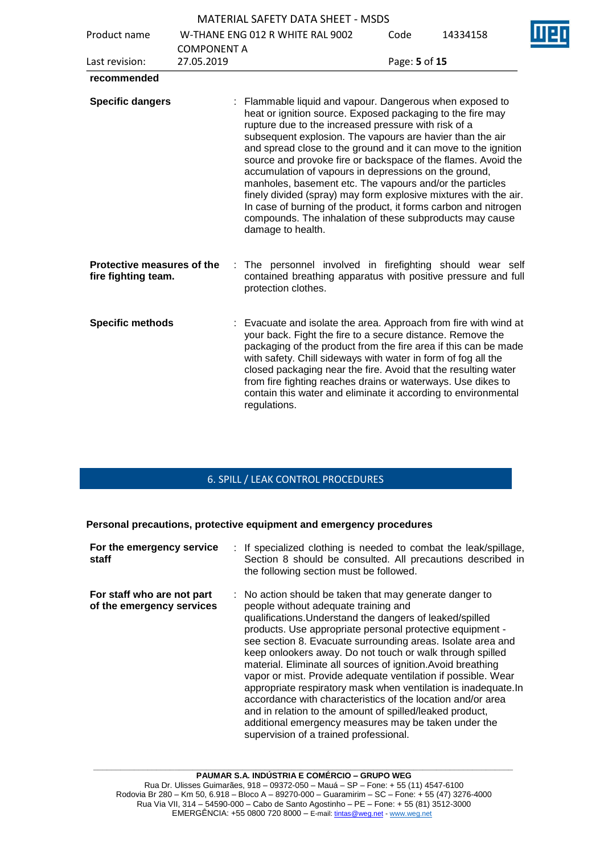|                                                   |                                  | <b>MATERIAL SAFETY DATA SHEET - MSDS</b>                                                                                                                                                                                                                                                                                                                                                                                                                                                                                                                                                                                                                                                                                    |               |          |  |
|---------------------------------------------------|----------------------------------|-----------------------------------------------------------------------------------------------------------------------------------------------------------------------------------------------------------------------------------------------------------------------------------------------------------------------------------------------------------------------------------------------------------------------------------------------------------------------------------------------------------------------------------------------------------------------------------------------------------------------------------------------------------------------------------------------------------------------------|---------------|----------|--|
| Product name                                      |                                  | W-THANE ENG 012 R WHITE RAL 9002                                                                                                                                                                                                                                                                                                                                                                                                                                                                                                                                                                                                                                                                                            | Code          | 14334158 |  |
| Last revision:                                    | <b>COMPONENT A</b><br>27.05.2019 |                                                                                                                                                                                                                                                                                                                                                                                                                                                                                                                                                                                                                                                                                                                             | Page: 5 of 15 |          |  |
| recommended                                       |                                  |                                                                                                                                                                                                                                                                                                                                                                                                                                                                                                                                                                                                                                                                                                                             |               |          |  |
| <b>Specific dangers</b>                           |                                  | : Flammable liquid and vapour. Dangerous when exposed to<br>heat or ignition source. Exposed packaging to the fire may<br>rupture due to the increased pressure with risk of a<br>subsequent explosion. The vapours are havier than the air<br>and spread close to the ground and it can move to the ignition<br>source and provoke fire or backspace of the flames. Avoid the<br>accumulation of vapours in depressions on the ground,<br>manholes, basement etc. The vapours and/or the particles<br>finely divided (spray) may form explosive mixtures with the air.<br>In case of burning of the product, it forms carbon and nitrogen<br>compounds. The inhalation of these subproducts may cause<br>damage to health. |               |          |  |
| Protective measures of the<br>fire fighting team. |                                  | : The personnel involved in firefighting should wear self<br>contained breathing apparatus with positive pressure and full<br>protection clothes.                                                                                                                                                                                                                                                                                                                                                                                                                                                                                                                                                                           |               |          |  |
| <b>Specific methods</b>                           |                                  | Evacuate and isolate the area. Approach from fire with wind at<br>your back. Fight the fire to a secure distance. Remove the<br>packaging of the product from the fire area if this can be made<br>with safety. Chill sideways with water in form of fog all the<br>closed packaging near the fire. Avoid that the resulting water<br>from fire fighting reaches drains or waterways. Use dikes to<br>contain this water and eliminate it according to environmental<br>regulations.                                                                                                                                                                                                                                        |               |          |  |

# 6. SPILL / LEAK CONTROL PROCEDURES

**Personal precautions, protective equipment and emergency procedures**

| For the emergency service<br>staff                      | : If specialized clothing is needed to combat the leak/spillage,<br>Section 8 should be consulted. All precautions described in<br>the following section must be followed.                                                                                                                                                                                                                                                                                                                                                                                                                                                                                                                                                                                                            |
|---------------------------------------------------------|---------------------------------------------------------------------------------------------------------------------------------------------------------------------------------------------------------------------------------------------------------------------------------------------------------------------------------------------------------------------------------------------------------------------------------------------------------------------------------------------------------------------------------------------------------------------------------------------------------------------------------------------------------------------------------------------------------------------------------------------------------------------------------------|
| For staff who are not part<br>of the emergency services | : No action should be taken that may generate danger to<br>people without adequate training and<br>qualifications. Understand the dangers of leaked/spilled<br>products. Use appropriate personal protective equipment -<br>see section 8. Evacuate surrounding areas. Isolate area and<br>keep onlookers away. Do not touch or walk through spilled<br>material. Eliminate all sources of ignition. Avoid breathing<br>vapor or mist. Provide adequate ventilation if possible. Wear<br>appropriate respiratory mask when ventilation is inadequate. In<br>accordance with characteristics of the location and/or area<br>and in relation to the amount of spilled/leaked product,<br>additional emergency measures may be taken under the<br>supervision of a trained professional. |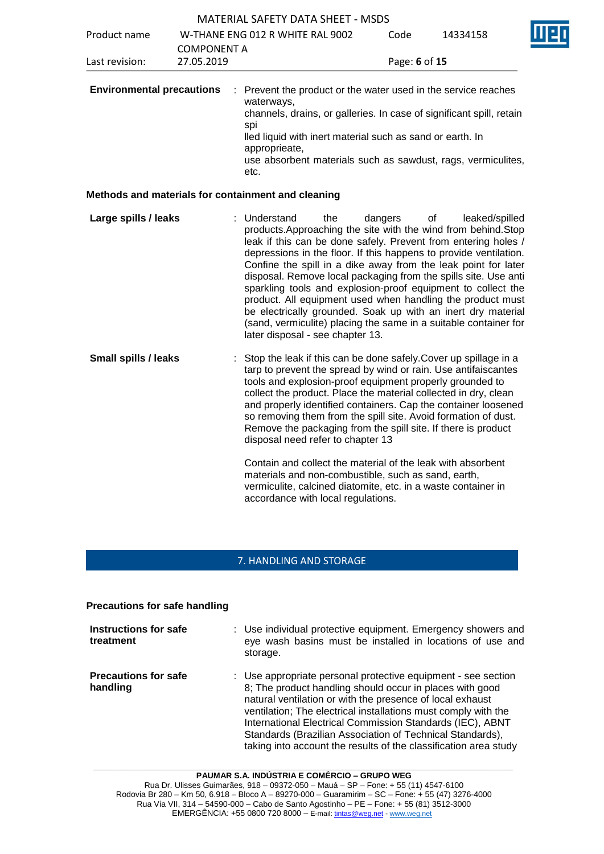|                                  |                                  | <b>MATERIAL SAFETY DATA SHEET - MSDS</b>                                                                                                                                                                                                                                                                                                                                                                                                                                                                                                                                                                                                                                                                                                 |               |                      |  |
|----------------------------------|----------------------------------|------------------------------------------------------------------------------------------------------------------------------------------------------------------------------------------------------------------------------------------------------------------------------------------------------------------------------------------------------------------------------------------------------------------------------------------------------------------------------------------------------------------------------------------------------------------------------------------------------------------------------------------------------------------------------------------------------------------------------------------|---------------|----------------------|--|
| Product name                     |                                  | W-THANE ENG 012 R WHITE RAL 9002                                                                                                                                                                                                                                                                                                                                                                                                                                                                                                                                                                                                                                                                                                         | Code          | 14334158             |  |
| Last revision:                   | <b>COMPONENT A</b><br>27.05.2019 |                                                                                                                                                                                                                                                                                                                                                                                                                                                                                                                                                                                                                                                                                                                                          | Page: 6 of 15 |                      |  |
| <b>Environmental precautions</b> |                                  | Prevent the product or the water used in the service reaches<br>waterways,<br>channels, drains, or galleries. In case of significant spill, retain<br>spi<br>lled liquid with inert material such as sand or earth. In<br>approprieate,<br>use absorbent materials such as sawdust, rags, vermiculites,<br>etc.                                                                                                                                                                                                                                                                                                                                                                                                                          |               |                      |  |
|                                  |                                  | Methods and materials for containment and cleaning                                                                                                                                                                                                                                                                                                                                                                                                                                                                                                                                                                                                                                                                                       |               |                      |  |
| Large spills / leaks             |                                  | Understand<br>the<br>products. Approaching the site with the wind from behind. Stop<br>leak if this can be done safely. Prevent from entering holes /<br>depressions in the floor. If this happens to provide ventilation.<br>Confine the spill in a dike away from the leak point for later<br>disposal. Remove local packaging from the spills site. Use anti<br>sparkling tools and explosion-proof equipment to collect the<br>product. All equipment used when handling the product must<br>be electrically grounded. Soak up with an inert dry material<br>(sand, vermiculite) placing the same in a suitable container for<br>later disposal - see chapter 13.                                                                    | dangers       | οf<br>leaked/spilled |  |
| Small spills / leaks             |                                  | Stop the leak if this can be done safely. Cover up spillage in a<br>tarp to prevent the spread by wind or rain. Use antifaiscantes<br>tools and explosion-proof equipment properly grounded to<br>collect the product. Place the material collected in dry, clean<br>and properly identified containers. Cap the container loosened<br>so removing them from the spill site. Avoid formation of dust.<br>Remove the packaging from the spill site. If there is product<br>disposal need refer to chapter 13<br>Contain and collect the material of the leak with absorbent<br>materials and non-combustible, such as sand, earth,<br>vermiculite, calcined diatomite, etc. in a waste container in<br>accordance with local regulations. |               |                      |  |

## 7. HANDLING AND STORAGE

**Precautions for safe handling**

| Instructions for safe<br>treatment      | : Use individual protective equipment. Emergency showers and<br>eye wash basins must be installed in locations of use and<br>storage.                                                                                                                                                                                                                                                                                                                  |
|-----------------------------------------|--------------------------------------------------------------------------------------------------------------------------------------------------------------------------------------------------------------------------------------------------------------------------------------------------------------------------------------------------------------------------------------------------------------------------------------------------------|
| <b>Precautions for safe</b><br>handling | : Use appropriate personal protective equipment - see section<br>8; The product handling should occur in places with good<br>natural ventilation or with the presence of local exhaust<br>ventilation; The electrical installations must comply with the<br>International Electrical Commission Standards (IEC), ABNT<br>Standards (Brazilian Association of Technical Standards),<br>taking into account the results of the classification area study |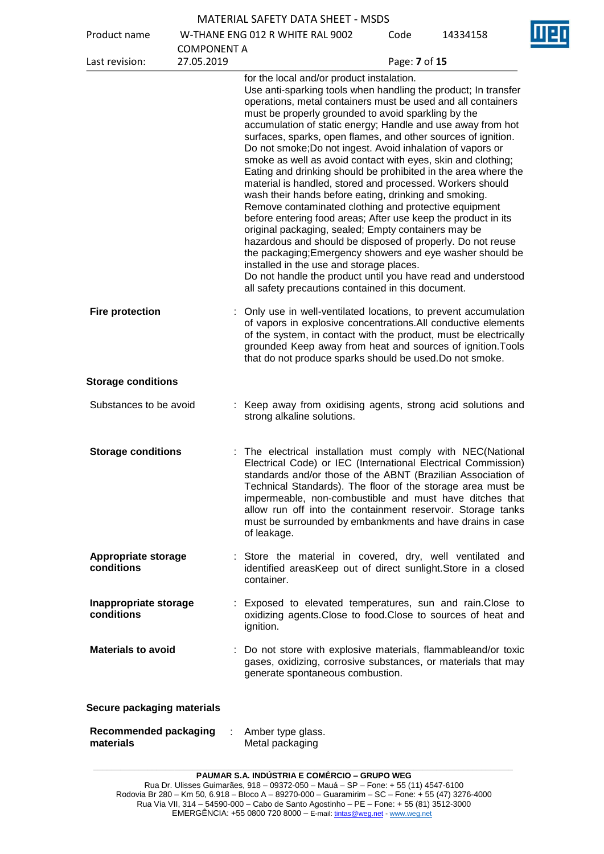| <b>MATERIAL SAFETY DATA SHEET - MSDS</b> |
|------------------------------------------|
|                                          |

| Product name                              |                    | W-THANE ENG 012 R WHITE RAL 9002                                                                                                                                                                                                                                                                                                                                                                                                                                                                                                                                                                                                                                                                                                                                                                                                                                                                                                                                                                                                                                                                                                                                       | Code          | 14334158 |
|-------------------------------------------|--------------------|------------------------------------------------------------------------------------------------------------------------------------------------------------------------------------------------------------------------------------------------------------------------------------------------------------------------------------------------------------------------------------------------------------------------------------------------------------------------------------------------------------------------------------------------------------------------------------------------------------------------------------------------------------------------------------------------------------------------------------------------------------------------------------------------------------------------------------------------------------------------------------------------------------------------------------------------------------------------------------------------------------------------------------------------------------------------------------------------------------------------------------------------------------------------|---------------|----------|
|                                           | <b>COMPONENT A</b> |                                                                                                                                                                                                                                                                                                                                                                                                                                                                                                                                                                                                                                                                                                                                                                                                                                                                                                                                                                                                                                                                                                                                                                        |               |          |
| Last revision:                            | 27.05.2019         |                                                                                                                                                                                                                                                                                                                                                                                                                                                                                                                                                                                                                                                                                                                                                                                                                                                                                                                                                                                                                                                                                                                                                                        | Page: 7 of 15 |          |
|                                           |                    | for the local and/or product instalation.<br>Use anti-sparking tools when handling the product; In transfer<br>operations, metal containers must be used and all containers<br>must be properly grounded to avoid sparkling by the<br>accumulation of static energy; Handle and use away from hot<br>surfaces, sparks, open flames, and other sources of ignition.<br>Do not smoke; Do not ingest. Avoid inhalation of vapors or<br>smoke as well as avoid contact with eyes, skin and clothing;<br>Eating and drinking should be prohibited in the area where the<br>material is handled, stored and processed. Workers should<br>wash their hands before eating, drinking and smoking.<br>Remove contaminated clothing and protective equipment<br>before entering food areas; After use keep the product in its<br>original packaging, sealed; Empty containers may be<br>hazardous and should be disposed of properly. Do not reuse<br>the packaging; Emergency showers and eye washer should be<br>installed in the use and storage places.<br>Do not handle the product until you have read and understood<br>all safety precautions contained in this document. |               |          |
| <b>Fire protection</b>                    |                    | : Only use in well-ventilated locations, to prevent accumulation<br>of vapors in explosive concentrations. All conductive elements<br>of the system, in contact with the product, must be electrically<br>grounded Keep away from heat and sources of ignition. Tools<br>that do not produce sparks should be used. Do not smoke.                                                                                                                                                                                                                                                                                                                                                                                                                                                                                                                                                                                                                                                                                                                                                                                                                                      |               |          |
| <b>Storage conditions</b>                 |                    |                                                                                                                                                                                                                                                                                                                                                                                                                                                                                                                                                                                                                                                                                                                                                                                                                                                                                                                                                                                                                                                                                                                                                                        |               |          |
| Substances to be avoid                    |                    | : Keep away from oxidising agents, strong acid solutions and<br>strong alkaline solutions.                                                                                                                                                                                                                                                                                                                                                                                                                                                                                                                                                                                                                                                                                                                                                                                                                                                                                                                                                                                                                                                                             |               |          |
| <b>Storage conditions</b>                 |                    | : The electrical installation must comply with NEC(National<br>Electrical Code) or IEC (International Electrical Commission)<br>standards and/or those of the ABNT (Brazilian Association of<br>Technical Standards). The floor of the storage area must be<br>impermeable, non-combustible and must have ditches that<br>allow run off into the containment reservoir. Storage tanks<br>must be surrounded by embankments and have drains in case<br>of leakage.                                                                                                                                                                                                                                                                                                                                                                                                                                                                                                                                                                                                                                                                                                      |               |          |
| <b>Appropriate storage</b><br>conditions  |                    | Store the material in covered, dry, well ventilated and<br>identified areasKeep out of direct sunlight. Store in a closed<br>container.                                                                                                                                                                                                                                                                                                                                                                                                                                                                                                                                                                                                                                                                                                                                                                                                                                                                                                                                                                                                                                |               |          |
| Inappropriate storage<br>conditions       |                    | : Exposed to elevated temperatures, sun and rain. Close to<br>oxidizing agents. Close to food. Close to sources of heat and<br>ignition.                                                                                                                                                                                                                                                                                                                                                                                                                                                                                                                                                                                                                                                                                                                                                                                                                                                                                                                                                                                                                               |               |          |
| <b>Materials to avoid</b>                 |                    | : Do not store with explosive materials, flammableand/or toxic<br>gases, oxidizing, corrosive substances, or materials that may<br>generate spontaneous combustion.                                                                                                                                                                                                                                                                                                                                                                                                                                                                                                                                                                                                                                                                                                                                                                                                                                                                                                                                                                                                    |               |          |
| Secure packaging materials                |                    |                                                                                                                                                                                                                                                                                                                                                                                                                                                                                                                                                                                                                                                                                                                                                                                                                                                                                                                                                                                                                                                                                                                                                                        |               |          |
| <b>Recommended packaging</b><br>materials |                    | Amber type glass.<br>Metal packaging                                                                                                                                                                                                                                                                                                                                                                                                                                                                                                                                                                                                                                                                                                                                                                                                                                                                                                                                                                                                                                                                                                                                   |               |          |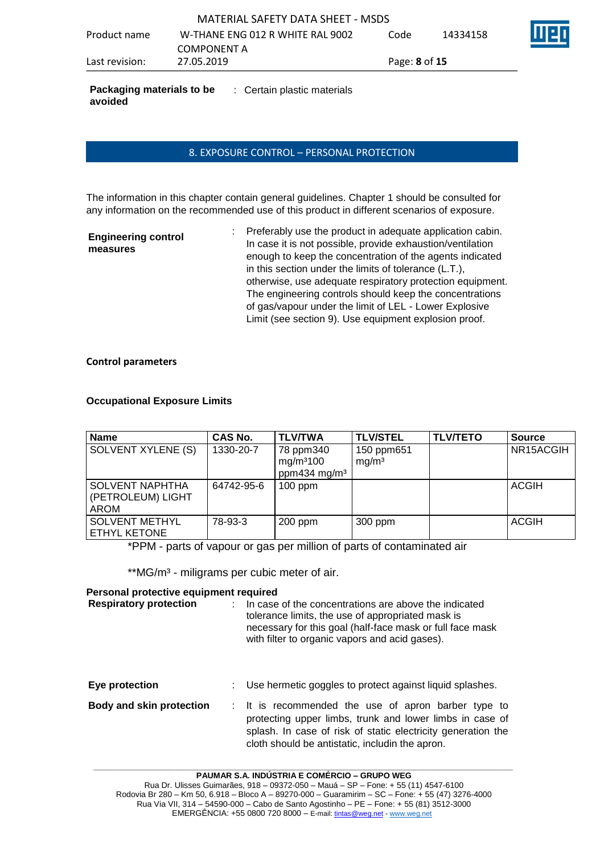**Packaging materials to be COD**: Certain plastic materials **avoided**

## 8. EXPOSURE CONTROL – PERSONAL PROTECTION

The information in this chapter contain general guidelines. Chapter 1 should be consulted for any information on the recommended use of this product in different scenarios of exposure.

| <b>Engineering control</b> |  |
|----------------------------|--|
| measures                   |  |

: Preferably use the product in adequate application cabin. In case it is not possible, provide exhaustion/ventilation enough to keep the concentration of the agents indicated in this section under the limits of tolerance (L.T.), otherwise, use adequate respiratory protection equipment. The engineering controls should keep the concentrations of gas/vapour under the limit of LEL - Lower Explosive Limit (see section 9). Use equipment explosion proof.

### **Control parameters**

### **Occupational Exposure Limits**

| <b>Name</b>                                         | <b>CAS No.</b> | <b>TLV/TWA</b>                                                 | <b>TLV/STEL</b>                 | <b>TLV/TETO</b> | <b>Source</b> |
|-----------------------------------------------------|----------------|----------------------------------------------------------------|---------------------------------|-----------------|---------------|
| SOLVENT XYLENE (S)                                  | 1330-20-7      | 78 ppm340<br>mg/m <sup>3</sup> 100<br>ppm434 mg/m <sup>3</sup> | 150 ppm651<br>mq/m <sup>3</sup> |                 | NR15ACGIH     |
| <b>SOLVENT NAPHTHA</b><br>(PETROLEUM) LIGHT<br>AROM | 64742-95-6     | $100$ ppm                                                      |                                 |                 | <b>ACGIH</b>  |
| <b>SOLVENT METHYL</b><br>ETHYL KETONE               | 78-93-3        | $200$ ppm                                                      | 300 ppm                         |                 | <b>ACGIH</b>  |

\*PPM - parts of vapour or gas per million of parts of contaminated air

\*\*MG/m<sup>3</sup> - miligrams per cubic meter of air.

### **Personal protective equipment required**

| <b>Respiratory protection</b>   | In case of the concentrations are above the indicated<br>tolerance limits, the use of appropriated mask is<br>necessary for this goal (half-face mask or full face mask<br>with filter to organic vapors and acid gases).          |
|---------------------------------|------------------------------------------------------------------------------------------------------------------------------------------------------------------------------------------------------------------------------------|
| Eye protection                  | Use hermetic goggles to protect against liquid splashes.                                                                                                                                                                           |
| <b>Body and skin protection</b> | : It is recommended the use of apron barber type to<br>protecting upper limbs, trunk and lower limbs in case of<br>splash. In case of risk of static electricity generation the<br>cloth should be antistatic, includin the apron. |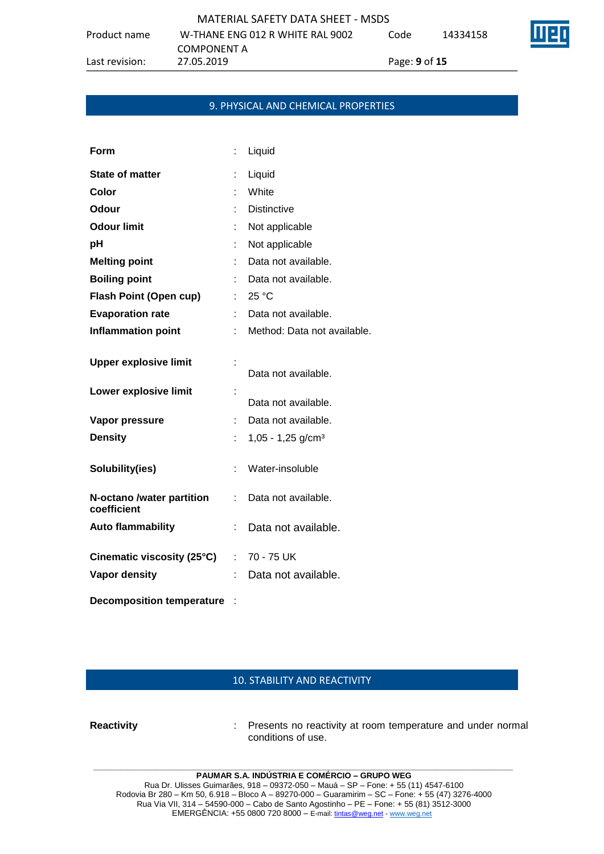|              | MATERIAL SAFETY DATA SHEET - MSDS |    |
|--------------|-----------------------------------|----|
| Product name | W-THANE ENG 012 R WHITE RAL 9002  | Co |

Code 14334158

COMPONENT A

Last revision: 27.05.2019 Page: **9** of **15**

## 9. PHYSICAL AND CHEMICAL PROPERTIES

| Form                                     |      | Liquid                        |
|------------------------------------------|------|-------------------------------|
| <b>State of matter</b>                   | t    | Liquid                        |
| Color                                    |      | White                         |
| <b>Odour</b>                             |      | <b>Distinctive</b>            |
| <b>Odour limit</b>                       |      | Not applicable                |
| рH                                       |      | Not applicable                |
| <b>Melting point</b>                     |      | Data not available.           |
| <b>Boiling point</b>                     |      | Data not available.           |
| <b>Flash Point (Open cup)</b>            | t in | 25 °C                         |
| <b>Evaporation rate</b>                  |      | Data not available.           |
| <b>Inflammation point</b>                |      | Method: Data not available.   |
| <b>Upper explosive limit</b>             |      | Data not available.           |
| Lower explosive limit                    | ř,   | Data not available.           |
| Vapor pressure                           | ÷.   | Data not available.           |
| <b>Density</b>                           | t.   | 1,05 - 1,25 g/cm <sup>3</sup> |
| Solubility(ies)                          | ÷    | Water-insoluble               |
| N-octano /water partition<br>coefficient | ÷    | Data not available.           |
| <b>Auto flammability</b>                 | t    | Data not available.           |
| Cinematic viscosity (25°C)               |      | $: 70 - 75$ UK                |
| <b>Vapor density</b>                     |      | Data not available.           |
| <b>Decomposition temperature</b>         |      |                               |

## 10. STABILITY AND REACTIVITY

**Reactivity** : Presents no reactivity at room temperature and under normal conditions of use.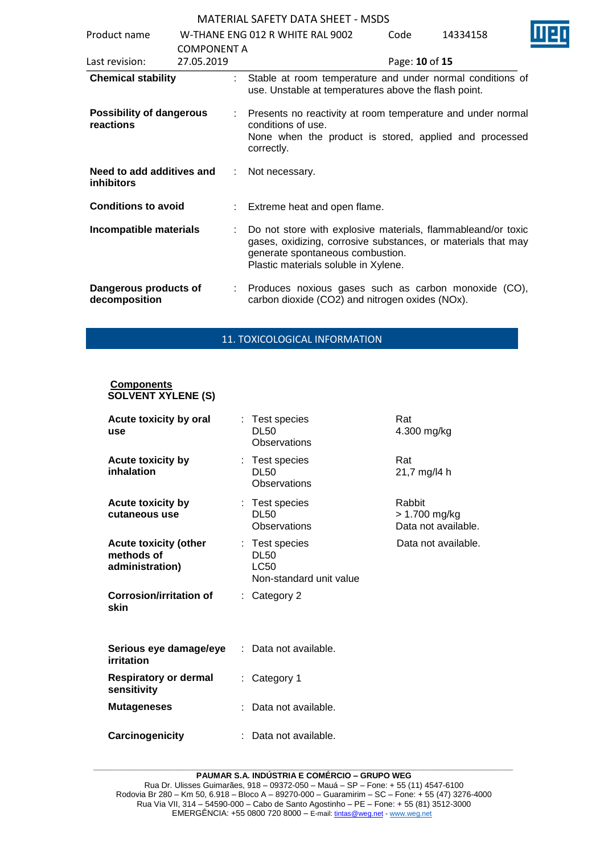| Product name                                   |                    | W-THANE ENG 012 R WHITE RAL 9002                                                                                                                                                                          | Code           | 14334158 |  |
|------------------------------------------------|--------------------|-----------------------------------------------------------------------------------------------------------------------------------------------------------------------------------------------------------|----------------|----------|--|
|                                                | <b>COMPONENT A</b> |                                                                                                                                                                                                           |                |          |  |
| Last revision:                                 | 27.05.2019         |                                                                                                                                                                                                           | Page: 10 of 15 |          |  |
| <b>Chemical stability</b>                      | t.                 | Stable at room temperature and under normal conditions of<br>use. Unstable at temperatures above the flash point.                                                                                         |                |          |  |
| <b>Possibility of dangerous</b><br>reactions   |                    | Presents no reactivity at room temperature and under normal<br>conditions of use.<br>None when the product is stored, applied and processed<br>correctly.                                                 |                |          |  |
| Need to add additives and<br><b>inhibitors</b> |                    | Not necessary.                                                                                                                                                                                            |                |          |  |
| <b>Conditions to avoid</b>                     |                    | Extreme heat and open flame.                                                                                                                                                                              |                |          |  |
| Incompatible materials                         | t.                 | Do not store with explosive materials, flammableand/or toxic<br>gases, oxidizing, corrosive substances, or materials that may<br>generate spontaneous combustion.<br>Plastic materials soluble in Xylene. |                |          |  |
| Dangerous products of<br>decomposition         |                    | Produces noxious gases such as carbon monoxide (CO),<br>carbon dioxide (CO2) and nitrogen oxides (NOx).                                                                                                   |                |          |  |

### 11. TOXICOLOGICAL INFORMATION

#### **Components SOLVENT XYLENE (S)**

| Acute toxicity by oral<br>use                                 |    | : Test species<br>DL50<br>Observations                           | Rat<br>4.300 mg/kg                             |
|---------------------------------------------------------------|----|------------------------------------------------------------------|------------------------------------------------|
| Acute toxicity by<br>inhalation                               |    | : Test species<br><b>DL50</b><br>Observations                    | Rat<br>21,7 mg/l4 h                            |
| <b>Acute toxicity by</b><br>cutaneous use                     |    | : Test species<br><b>DL50</b><br>Observations                    | Rabbit<br>> 1.700 mg/kg<br>Data not available. |
| <b>Acute toxicity (other</b><br>methods of<br>administration) |    | : Test species<br><b>DL50</b><br>LC50<br>Non-standard unit value | Data not available.                            |
| <b>Corrosion/irritation of</b><br>skin                        |    | $:$ Category 2                                                   |                                                |
| Serious eye damage/eye<br>irritation                          |    | Data not available.                                              |                                                |
| Respiratory or dermal<br>sensitivity                          | ÷. | Category 1                                                       |                                                |
| <b>Mutageneses</b>                                            |    | Data not available.                                              |                                                |
| Carcinogenicity                                               |    | Data not available.                                              |                                                |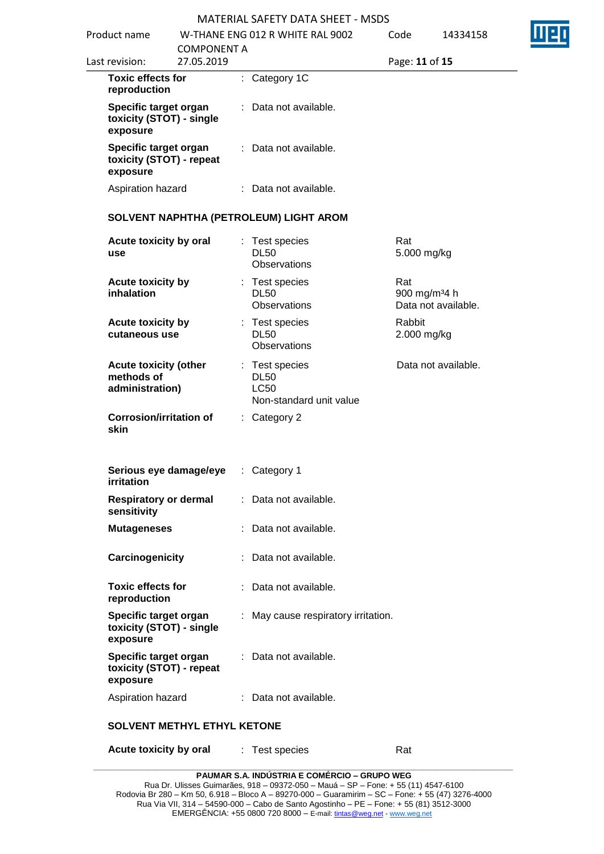| Product name                                                  |                                  | W-THANE ENG 012 R WHITE RAL 9002                                        | Code                  | 14334158                                        |
|---------------------------------------------------------------|----------------------------------|-------------------------------------------------------------------------|-----------------------|-------------------------------------------------|
| Last revision:                                                | <b>COMPONENT A</b><br>27.05.2019 |                                                                         | Page: 11 of 15        |                                                 |
| <b>Toxic effects for</b><br>reproduction                      |                                  | : Category 1C                                                           |                       |                                                 |
| Specific target organ<br>toxicity (STOT) - single<br>exposure |                                  | : Data not available.                                                   |                       |                                                 |
| Specific target organ<br>toxicity (STOT) - repeat<br>exposure |                                  | : Data not available.                                                   |                       |                                                 |
| Aspiration hazard                                             |                                  | : Data not available.                                                   |                       |                                                 |
|                                                               |                                  | SOLVENT NAPHTHA (PETROLEUM) LIGHT AROM                                  |                       |                                                 |
| Acute toxicity by oral<br>use                                 |                                  | Test species<br><b>DL50</b><br>Observations                             | Rat<br>5.000 mg/kg    |                                                 |
| Acute toxicity by<br>inhalation                               |                                  | Test species<br><b>DL50</b><br>Observations                             | Rat                   | 900 mg/m <sup>34</sup> h<br>Data not available. |
| Acute toxicity by<br>cutaneous use                            |                                  | : Test species<br><b>DL50</b><br>Observations                           | Rabbit<br>2.000 mg/kg |                                                 |
| <b>Acute toxicity (other</b><br>methods of<br>administration) |                                  | : Test species<br><b>DL50</b><br><b>LC50</b><br>Non-standard unit value |                       | Data not available.                             |
| <b>Corrosion/irritation of</b><br>skin                        |                                  | : Category 2                                                            |                       |                                                 |
| Serious eye damage/eye<br>irritation                          |                                  | : Category 1                                                            |                       |                                                 |
| <b>Respiratory or dermal</b><br>sensitivity                   |                                  | : Data not available.                                                   |                       |                                                 |
| <b>Mutageneses</b>                                            |                                  | : Data not available.                                                   |                       |                                                 |
| Carcinogenicity                                               |                                  | Data not available.                                                     |                       |                                                 |
| <b>Toxic effects for</b><br>reproduction                      |                                  | : Data not available.                                                   |                       |                                                 |
| Specific target organ<br>toxicity (STOT) - single<br>exposure |                                  | May cause respiratory irritation.                                       |                       |                                                 |
| Specific target organ<br>toxicity (STOT) - repeat<br>exposure |                                  | : Data not available.                                                   |                       |                                                 |
| Aspiration hazard                                             |                                  | : Data not available.                                                   |                       |                                                 |

**Acute toxicity by oral** : Test species Rat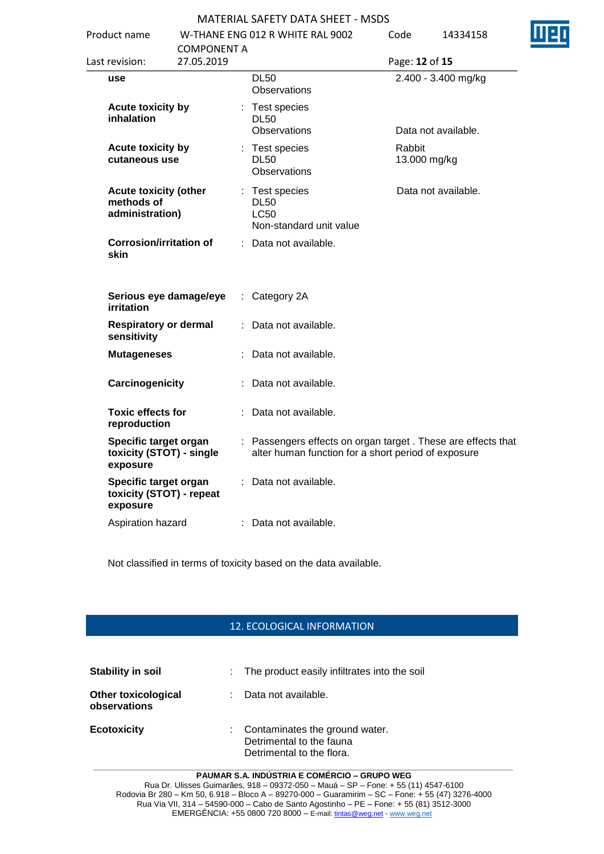| Product name                                                  |                                  |  | W-THANE ENG 012 R WHITE RAL 9002                                                                                     | Code                   | 14334158            | н |
|---------------------------------------------------------------|----------------------------------|--|----------------------------------------------------------------------------------------------------------------------|------------------------|---------------------|---|
| Last revision:                                                | <b>COMPONENT A</b><br>27.05.2019 |  |                                                                                                                      | Page: 12 of 15         |                     |   |
| use                                                           |                                  |  | <b>DL50</b><br><b>Observations</b>                                                                                   |                        | 2.400 - 3.400 mg/kg |   |
| <b>Acute toxicity by</b><br>inhalation                        |                                  |  | : Test species<br><b>DL50</b><br><b>Observations</b>                                                                 |                        | Data not available. |   |
| Acute toxicity by<br>cutaneous use                            |                                  |  | : Test species<br><b>DL50</b><br><b>Observations</b>                                                                 | Rabbit<br>13.000 mg/kg |                     |   |
| <b>Acute toxicity (other</b><br>methods of<br>administration) |                                  |  | : Test species<br><b>DL50</b><br><b>LC50</b><br>Non-standard unit value                                              |                        | Data not available. |   |
| <b>Corrosion/irritation of</b><br>skin                        |                                  |  | : Data not available.                                                                                                |                        |                     |   |
| Serious eye damage/eye<br>irritation                          |                                  |  | $:$ Category 2A                                                                                                      |                        |                     |   |
| <b>Respiratory or dermal</b><br>sensitivity                   |                                  |  | Data not available.                                                                                                  |                        |                     |   |
| <b>Mutageneses</b>                                            |                                  |  | Data not available.                                                                                                  |                        |                     |   |
| Carcinogenicity                                               |                                  |  | Data not available.                                                                                                  |                        |                     |   |
| <b>Toxic effects for</b><br>reproduction                      |                                  |  | Data not available.                                                                                                  |                        |                     |   |
| Specific target organ<br>toxicity (STOT) - single<br>exposure |                                  |  | : Passengers effects on organ target . These are effects that<br>alter human function for a short period of exposure |                        |                     |   |
| Specific target organ<br>toxicity (STOT) - repeat<br>exposure |                                  |  | Data not available.                                                                                                  |                        |                     |   |
| Aspiration hazard                                             |                                  |  | : Data not available.                                                                                                |                        |                     |   |

Not classified in terms of toxicity based on the data available.

## 12. ECOLOGICAL INFORMATION

| <b>Stability in soil</b>                   | : The product easily infiltrates into the soil                                            |
|--------------------------------------------|-------------------------------------------------------------------------------------------|
| <b>Other toxicological</b><br>observations | Data not available.                                                                       |
| <b>Ecotoxicity</b>                         | : Contaminates the ground water.<br>Detrimental to the fauna<br>Detrimental to the flora. |

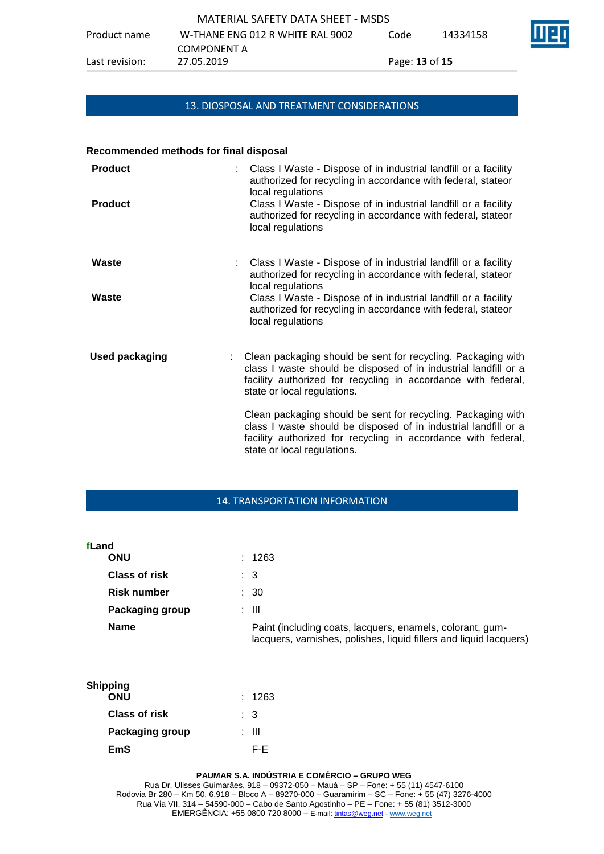# 13. DIOSPOSAL AND TREATMENT CONSIDERATIONS

#### **Recommended methods for final disposal**

| <b>Product</b><br><b>Product</b> | Class I Waste - Dispose of in industrial landfill or a facility<br>authorized for recycling in accordance with federal, stateor<br>local regulations<br>Class I Waste - Dispose of in industrial landfill or a facility<br>authorized for recycling in accordance with federal, stateor<br>local regulations |
|----------------------------------|--------------------------------------------------------------------------------------------------------------------------------------------------------------------------------------------------------------------------------------------------------------------------------------------------------------|
| Waste                            | Class I Waste - Dispose of in industrial landfill or a facility<br>authorized for recycling in accordance with federal, stateor<br>local regulations                                                                                                                                                         |
| Waste                            | Class I Waste - Dispose of in industrial landfill or a facility<br>authorized for recycling in accordance with federal, stateor<br>local regulations                                                                                                                                                         |
| <b>Used packaging</b>            | Clean packaging should be sent for recycling. Packaging with<br>class I waste should be disposed of in industrial landfill or a<br>facility authorized for recycling in accordance with federal,<br>state or local regulations.                                                                              |
|                                  | Clean packaging should be sent for recycling. Packaging with<br>class I waste should be disposed of in industrial landfill or a<br>facility authorized for recycling in accordance with federal,<br>state or local regulations.                                                                              |

### 14. TRANSPORTATION INFORMATION

| fLand           | <b>ONU</b>             | : 1263                                                                                                                          |
|-----------------|------------------------|---------------------------------------------------------------------------------------------------------------------------------|
|                 |                        |                                                                                                                                 |
|                 | <b>Class of risk</b>   | $\therefore$ 3                                                                                                                  |
|                 | <b>Risk number</b>     | $\therefore$ 30                                                                                                                 |
|                 | <b>Packaging group</b> | : III                                                                                                                           |
|                 | <b>Name</b>            | Paint (including coats, lacquers, enamels, colorant, gum-<br>lacquers, varnishes, polishes, liquid fillers and liquid lacquers) |
| <b>Shipping</b> | <b>ONU</b>             | : 1263                                                                                                                          |
|                 | <b>Class of risk</b>   | $\therefore$ 3                                                                                                                  |

| <b>EmS</b> | F-F.                                                                                                      |  |
|------------|-----------------------------------------------------------------------------------------------------------|--|
|            | <b>PAUMAR S.A. INDUSTRIA E COMÉRCIO – GRUPO WEG</b>                                                       |  |
|            | Rua Dr. Ulisses Guimarães, 918 – 09372-050 – Mauá – SP – Fone: + 55 (11) 4547-6100                        |  |
|            | Rodovia Br 280 – Km 50, 6.918 – Bloco A – 89270-000 – Guaramirim – SC – Fone: + 55 (47) 3276-4000         |  |
|            | $D_{\text{tot}}(t) = \frac{1}{11} \cdot 244$ $\frac{1}{11} \cdot 24500000$ $\frac{1}{11} \cdot 244500000$ |  |

**Packaging group : III**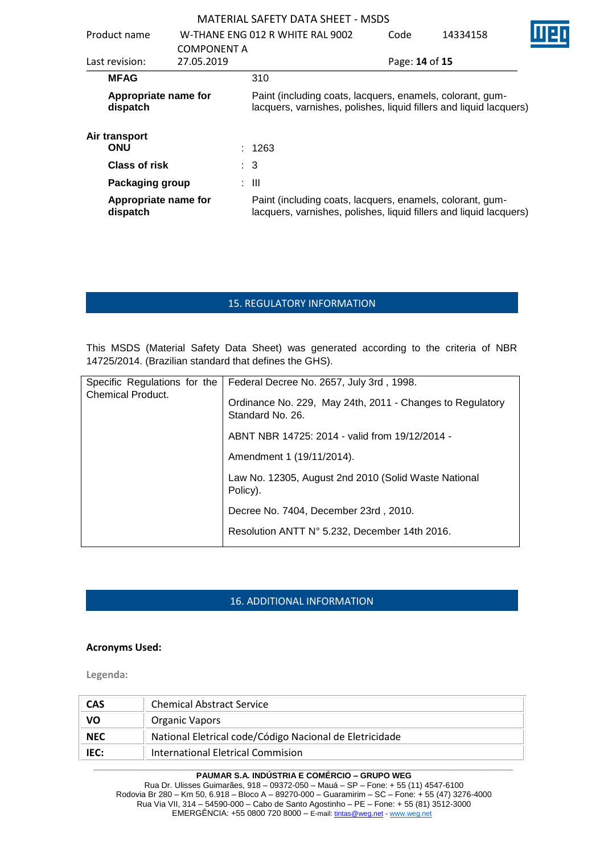| MATERIAL SAFETY DATA SHEFT - MSDS |                    |                                                                                                                                 |                                                                                                                                 |                |          |  |
|-----------------------------------|--------------------|---------------------------------------------------------------------------------------------------------------------------------|---------------------------------------------------------------------------------------------------------------------------------|----------------|----------|--|
| Product name                      |                    |                                                                                                                                 | W-THANF FNG 012 R WHITF RAL 9002                                                                                                | Code           | 14334158 |  |
|                                   | <b>COMPONENT A</b> |                                                                                                                                 |                                                                                                                                 |                |          |  |
| Last revision:                    | 27.05.2019         |                                                                                                                                 |                                                                                                                                 | Page: 14 of 15 |          |  |
| <b>MFAG</b>                       |                    |                                                                                                                                 | 310                                                                                                                             |                |          |  |
| Appropriate name for<br>dispatch  |                    | Paint (including coats, lacquers, enamels, colorant, gum-<br>lacquers, varnishes, polishes, liquid fillers and liquid lacquers) |                                                                                                                                 |                |          |  |
| Air transport<br><b>ONU</b>       |                    |                                                                                                                                 | : 1263                                                                                                                          |                |          |  |
| <b>Class of risk</b>              |                    |                                                                                                                                 | $\therefore$ 3                                                                                                                  |                |          |  |
| Packaging group                   |                    |                                                                                                                                 | : III                                                                                                                           |                |          |  |
| Appropriate name for<br>dispatch  |                    |                                                                                                                                 | Paint (including coats, lacquers, enamels, colorant, gum-<br>lacquers, varnishes, polishes, liquid fillers and liquid lacquers) |                |          |  |

## 15. REGULATORY INFORMATION

This MSDS (Material Safety Data Sheet) was generated according to the criteria of NBR 14725/2014. (Brazilian standard that defines the GHS).

| Specific Regulations for the | Federal Decree No. 2657, July 3rd, 1998.                                      |  |
|------------------------------|-------------------------------------------------------------------------------|--|
| <b>Chemical Product.</b>     | Ordinance No. 229, May 24th, 2011 - Changes to Regulatory<br>Standard No. 26. |  |
|                              | ABNT NBR 14725: 2014 - valid from 19/12/2014 -                                |  |
|                              | Amendment 1 (19/11/2014).                                                     |  |
|                              | Law No. 12305, August 2nd 2010 (Solid Waste National<br>Policy).              |  |
|                              | Decree No. 7404, December 23rd, 2010.                                         |  |
|                              | Resolution ANTT N° 5.232, December 14th 2016.                                 |  |

# 16. ADDITIONAL INFORMATION

### **Acronyms Used:**

**Legenda:**

| <b>CAS</b> | <b>Chemical Abstract Service</b>                        |
|------------|---------------------------------------------------------|
| VO         | <b>Organic Vapors</b>                                   |
| <b>NEC</b> | National Eletrical code/Código Nacional de Eletricidade |
| IEC:       | International Eletrical Commision                       |

#### **\_\_\_\_\_\_\_\_\_\_\_\_\_\_\_\_\_\_\_\_\_\_\_\_\_\_\_\_\_\_\_\_\_\_\_\_\_\_\_\_\_\_\_\_\_\_\_\_\_\_\_\_\_\_\_\_\_\_\_\_\_\_\_\_\_\_\_\_\_\_\_\_\_\_\_\_\_\_\_\_\_\_\_\_\_\_\_\_\_\_\_\_\_ PAUMAR S.A. INDÚSTRIA E COMÉRCIO – GRUPO WEG**

Rua Dr. Ulisses Guimarães, 918 – 09372-050 – Mauá – SP – Fone: + 55 (11) 4547-6100 Rodovia Br 280 – Km 50, 6.918 – Bloco A – 89270-000 – Guaramirim – SC – Fone: + 55 (47) 3276-4000 Rua Via VII, 314 – 54590-000 – Cabo de Santo Agostinho – PE – Fone: + 55 (81) 3512-3000 EMERGËNCIA: +55 0800 720 8000 – E-mail[: tintas@weg.net](mailto:tintas@weg.net) - [www.weg.net](http://www.weg.net/)